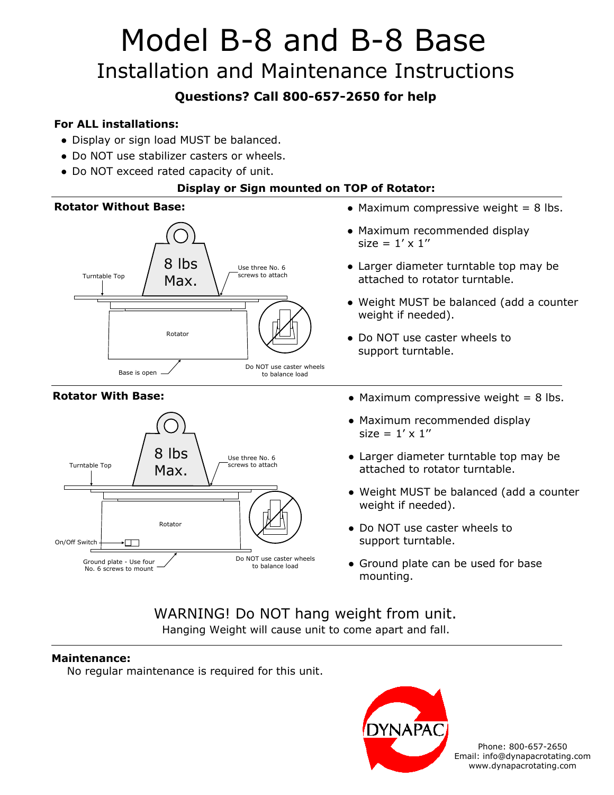# Model B-8 and B-8 Base Installation and Maintenance Instructions

### **Questions? Call 800-657-2650 for help**

#### **For ALL installations:**

- Display or sign load MUST be balanced.
- Do NOT use stabilizer casters or wheels.
- Do NOT exceed rated capacity of unit.

#### **Display or Sign mounted on TOP of Rotator:**

#### **Rotator Without Base:**



#### **Rotator With Base:**



- Maximum compressive weight  $= 8$  lbs.
- Maximum recommended display size =  $1' \times 1''$
- Larger diameter turntable top may be attached to rotator turntable.
- Weight MUST be balanced (add a counter weight if needed).
- Do NOT use caster wheels to support turntable.
- $\bullet$  Maximum compressive weight = 8 lbs.
- Maximum recommended display size =  $1' \times 1''$
- Larger diameter turntable top may be attached to rotator turntable.
- Weight MUST be balanced (add a counter weight if needed).
- Do NOT use caster wheels to support turntable.
- Ground plate can be used for base mounting.

#### WARNING! Do NOT hang weight from unit. Hanging Weight will cause unit to come apart and fall.

#### **Maintenance:**

No regular maintenance is required for this unit.



Phone: 800-657-2650 Email: info@dynapacrotating.com www.dynapacrotating.com